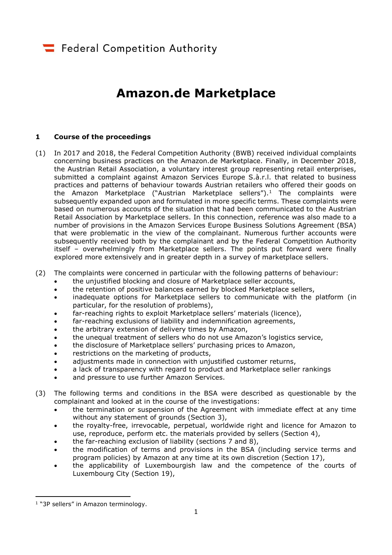# **Amazon.de Marketplace**

## **1 Course of the proceedings**

- (1) In 2017 and 2018, the Federal Competition Authority (BWB) received individual complaints concerning business practices on the Amazon.de Marketplace. Finally, in December 2018, the Austrian Retail Association, a voluntary interest group representing retail enterprises, submitted a complaint against Amazon Services Europe S.à.r.l. that related to business practices and patterns of behaviour towards Austrian retailers who offered their goods on the Amazon Marketplace ("Austrian Marketplace sellers").<sup>1</sup> The complaints were subsequently expanded upon and formulated in more specific terms. These complaints were based on numerous accounts of the situation that had been communicated to the Austrian Retail Association by Marketplace sellers. In this connection, reference was also made to a number of provisions in the Amazon Services Europe Business Solutions Agreement (BSA) that were problematic in the view of the complainant. Numerous further accounts were subsequently received both by the complainant and by the Federal Competition Authority itself – overwhelmingly from Marketplace sellers. The points put forward were finally explored more extensively and in greater depth in a survey of marketplace sellers.
- (2) The complaints were concerned in particular with the following patterns of behaviour:
	- the unjustified blocking and closure of Marketplace seller accounts,
	- the retention of positive balances earned by blocked Marketplace sellers,
	- inadequate options for Marketplace sellers to communicate with the platform (in particular, for the resolution of problems),
	- far-reaching rights to exploit Marketplace sellers' materials (licence),
	- far-reaching exclusions of liability and indemnification agreements,
	- the arbitrary extension of delivery times by Amazon,
	- the unequal treatment of sellers who do not use Amazon's logistics service,
	- the disclosure of Marketplace sellers' purchasing prices to Amazon,
	- restrictions on the marketing of products,
	- adjustments made in connection with unjustified customer returns,
	- a lack of transparency with regard to product and Marketplace seller rankings
	- and pressure to use further Amazon Services.
- (3) The following terms and conditions in the BSA were described as questionable by the complainant and looked at in the course of the investigations:
	- the termination or suspension of the Agreement with immediate effect at any time without any statement of grounds (Section 3),
	- the royalty-free, irrevocable, perpetual, worldwide right and licence for Amazon to use, reproduce, perform etc. the materials provided by sellers (Section 4),
	- the far-reaching exclusion of liability (sections 7 and 8),
	- the modification of terms and provisions in the BSA (including service terms and program policies) by Amazon at any time at its own discretion (Section 17),
	- the applicability of Luxembourgish law and the competence of the courts of Luxembourg City (Section 19),

<sup>&</sup>lt;sup>1</sup> "3P sellers" in Amazon terminology.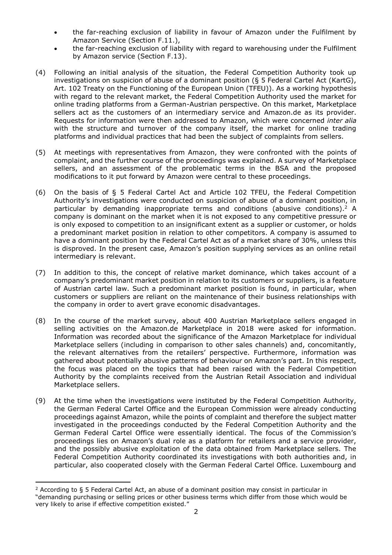- the far-reaching exclusion of liability in favour of Amazon under the Fulfilment by Amazon Service (Section F.11.),
- the far-reaching exclusion of liability with regard to warehousing under the Fulfilment by Amazon service (Section F.13).
- (4) Following an initial analysis of the situation, the Federal Competition Authority took up investigations on suspicion of abuse of a dominant position (§ 5 Federal Cartel Act (KartG), Art. 102 Treaty on the Functioning of the European Union (TFEU)). As a working hypothesis with regard to the relevant market, the Federal Competition Authority used the market for online trading platforms from a German-Austrian perspective. On this market, Marketplace sellers act as the customers of an intermediary service and Amazon.de as its provider. Requests for information were then addressed to Amazon, which were concerned *inter alia* with the structure and turnover of the company itself, the market for online trading platforms and individual practices that had been the subject of complaints from sellers.
- (5) At meetings with representatives from Amazon, they were confronted with the points of complaint, and the further course of the proceedings was explained. A survey of Marketplace sellers, and an assessment of the problematic terms in the BSA and the proposed modifications to it put forward by Amazon were central to these proceedings.
- (6) On the basis of § 5 Federal Cartel Act and Article 102 TFEU, the Federal Competition Authority's investigations were conducted on suspicion of abuse of a dominant position, in particular by demanding inappropriate terms and conditions (abusive conditions).<sup>2</sup> A company is dominant on the market when it is not exposed to any competitive pressure or is only exposed to competition to an insignificant extent as a supplier or customer, or holds a predominant market position in relation to other competitors. A company is assumed to have a dominant position by the Federal Cartel Act as of a market share of 30%, unless this is disproved. In the present case, Amazon's position supplying services as an online retail intermediary is relevant.
- (7) In addition to this, the concept of relative market dominance, which takes account of a company's predominant market position in relation to its customers or suppliers, is a feature of Austrian cartel law. Such a predominant market position is found, in particular, when customers or suppliers are reliant on the maintenance of their business relationships with the company in order to avert grave economic disadvantages.
- (8) In the course of the market survey, about 400 Austrian Marketplace sellers engaged in selling activities on the Amazon.de Marketplace in 2018 were asked for information. Information was recorded about the significance of the Amazon Marketplace for individual Marketplace sellers (including in comparison to other sales channels) and, concomitantly, the relevant alternatives from the retailers' perspective. Furthermore, information was gathered about potentially abusive patterns of behaviour on Amazon's part. In this respect, the focus was placed on the topics that had been raised with the Federal Competition Authority by the complaints received from the Austrian Retail Association and individual Marketplace sellers.
- (9) At the time when the investigations were instituted by the Federal Competition Authority, the German Federal Cartel Office and the European Commission were already conducting proceedings against Amazon, while the points of complaint and therefore the subject matter investigated in the proceedings conducted by the Federal Competition Authority and the German Federal Cartel Office were essentially identical. The focus of the Commission's proceedings lies on Amazon's dual role as a platform for retailers and a service provider, and the possibly abusive exploitation of the data obtained from Marketplace sellers. The Federal Competition Authority coordinated its investigations with both authorities and, in particular, also cooperated closely with the German Federal Cartel Office. Luxembourg and

<sup>&</sup>lt;sup>2</sup> According to § 5 Federal Cartel Act, an abuse of a dominant position may consist in particular in "demanding purchasing or selling prices or other business terms which differ from those which would be very likely to arise if effective competition existed."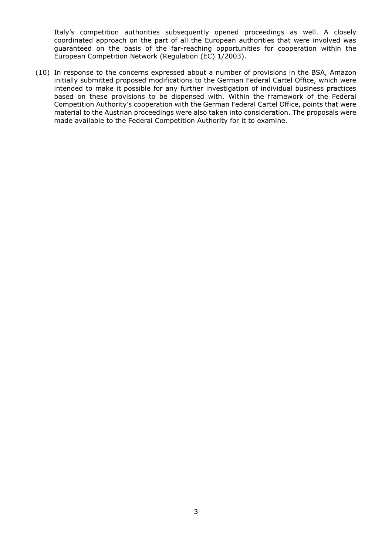Italy's competition authorities subsequently opened proceedings as well. A closely coordinated approach on the part of all the European authorities that were involved was guaranteed on the basis of the far-reaching opportunities for cooperation within the European Competition Network (Regulation (EC) 1/2003).

(10) In response to the concerns expressed about a number of provisions in the BSA, Amazon initially submitted proposed modifications to the German Federal Cartel Office, which were intended to make it possible for any further investigation of individual business practices based on these provisions to be dispensed with. Within the framework of the Federal Competition Authority's cooperation with the German Federal Cartel Office, points that were material to the Austrian proceedings were also taken into consideration. The proposals were made available to the Federal Competition Authority for it to examine.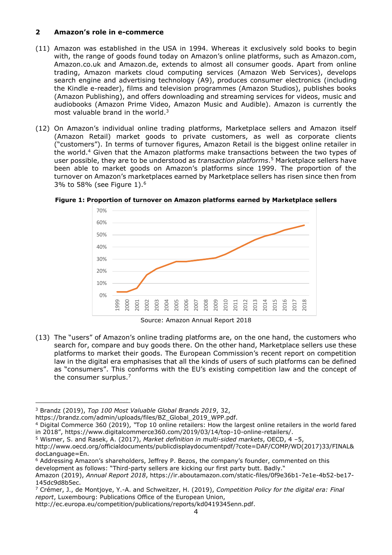# **2 Amazon's role in e-commerce**

- (11) Amazon was established in the USA in 1994. Whereas it exclusively sold books to begin with, the range of goods found today on Amazon's online platforms, such as Amazon.com, Amazon.co.uk and Amazon.de, extends to almost all consumer goods. Apart from online trading, Amazon markets cloud computing services (Amazon Web Services), develops search engine and advertising technology (A9), produces consumer electronics (including the Kindle e-reader), films and television programmes (Amazon Studios), publishes books (Amazon Publishing), and offers downloading and streaming services for videos, music and audiobooks (Amazon Prime Video, Amazon Music and Audible). Amazon is currently the most valuable brand in the world.<sup>3</sup>
- (12) On Amazon's individual online trading platforms, Marketplace sellers and Amazon itself (Amazon Retail) market goods to private customers, as well as corporate clients ("customers"). In terms of turnover figures, Amazon Retail is the biggest online retailer in the world.<sup>4</sup> Given that the Amazon platforms make transactions between the two types of user possible, they are to be understood as *transaction platforms*. <sup>5</sup> Marketplace sellers have been able to market goods on Amazon's platforms since 1999. The proportion of the turnover on Amazon's marketplaces earned by Marketplace sellers has risen since then from 3% to 58% (see Figure 1).<sup>6</sup>



**Figure 1: Proportion of turnover on Amazon platforms earned by Marketplace sellers**

Source: Amazon Annual Report 2018

(13) The "users" of Amazon's online trading platforms are, on the one hand, the customers who search for, compare and buy goods there. On the other hand, Marketplace sellers use these platforms to market their goods. The European Commission's recent report on competition law in the digital era emphasises that all the kinds of users of such platforms can be defined as "consumers". This conforms with the EU's existing competition law and the concept of the consumer surplus.<sup>7</sup>

<sup>3</sup> Brandz (2019), *Top 100 Most Valuable Global Brands 2019*, 32,

https://brandz.com/admin/uploads/files/BZ\_Global\_2019\_WPP.pdf.

<sup>4</sup> Digital Commerce 360 (2019), *"*Top 10 online retailers: How the largest online retailers in the world fared in 2018", https://www.digitalcommerce360.com/2019/03/14/top-10-online-retailers/.

<sup>5</sup> Wismer, S. and Rasek, A. (2017), *Market definition in multi-sided markets*, OECD, 4 –5,

http://www.oecd.org/officialdocuments/publicdisplaydocumentpdf/?cote=DAF/COMP/WD(2017)33/FINAL& docLanguage=En.

<sup>6</sup> Addressing Amazon's shareholders, Jeffrey P. Bezos, the company's founder, commented on this development as follows: "Third-party sellers are kicking our first party butt. Badly."

Amazon (2019), *Annual Report 2018*, https://ir.aboutamazon.com/static-files/0f9e36b1-7e1e-4b52-be17-

<sup>145</sup>dc9d8b5ec.

<sup>7</sup> Crémer, J., de Montjoye, Y.-A. and Schweitzer, H. (2019), *Competition Policy for the digital era: Final report*, Luxembourg: Publications Office of the European Union,

http://ec.europa.eu/competition/publications/reports/kd0419345enn.pdf.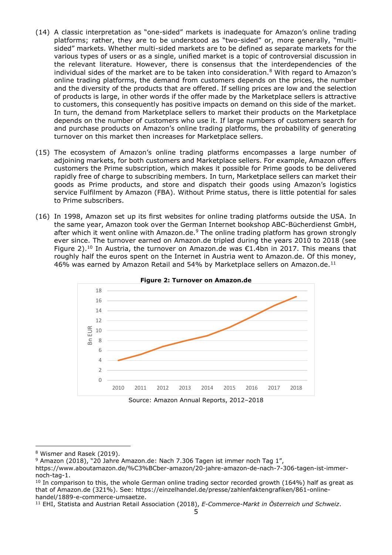- (14) A classic interpretation as "one-sided" markets is inadequate for Amazon's online trading platforms; rather, they are to be understood as "two-sided" or, more generally, "multisided" markets. Whether multi-sided markets are to be defined as separate markets for the various types of users or as a single, unified market is a topic of controversial discussion in the relevant literature. However, there is consensus that the interdependencies of the individual sides of the market are to be taken into consideration.<sup>8</sup> With regard to Amazon's online trading platforms, the demand from customers depends on the prices, the number and the diversity of the products that are offered. If selling prices are low and the selection of products is large, in other words if the offer made by the Marketplace sellers is attractive to customers, this consequently has positive impacts on demand on this side of the market. In turn, the demand from Marketplace sellers to market their products on the Marketplace depends on the number of customers who use it. If large numbers of customers search for and purchase products on Amazon's online trading platforms, the probability of generating turnover on this market then increases for Marketplace sellers.
- (15) The ecosystem of Amazon's online trading platforms encompasses a large number of adjoining markets, for both customers and Marketplace sellers. For example, Amazon offers customers the Prime subscription, which makes it possible for Prime goods to be delivered rapidly free of charge to subscribing members. In turn, Marketplace sellers can market their goods as Prime products, and store and dispatch their goods using Amazon's logistics service Fulfilment by Amazon (FBA). Without Prime status, there is little potential for sales to Prime subscribers.
- (16) In 1998, Amazon set up its first websites for online trading platforms outside the USA. In the same year, Amazon took over the German Internet bookshop ABC-Bücherdienst GmbH, after which it went online with Amazon.de.<sup>9</sup> The online trading platform has grown strongly ever since. The turnover earned on Amazon.de tripled during the years 2010 to 2018 (see Figure 2).<sup>10</sup> In Austria, the turnover on Amazon.de was €1.4bn in 2017. This means that roughly half the euros spent on the Internet in Austria went to Amazon.de. Of this money, 46% was earned by Amazon Retail and 54% by Marketplace sellers on Amazon.de.<sup>11</sup>



Source: Amazon Annual Reports, 2012–2018

<sup>8</sup> Wismer and Rasek (2019).

<sup>9</sup> Amazon (2018), "20 Jahre Amazon.de: Nach 7.306 Tagen ist immer noch Tag 1",

https://www.aboutamazon.de/%C3%BCber-amazon/20-jahre-amazon-de-nach-7-306-tagen-ist-immernoch-tag-1.

 $10$  In comparison to this, the whole German online trading sector recorded growth (164%) half as great as that of Amazon.de (321%). See: https://einzelhandel.de/presse/zahlenfaktengrafiken/861-onlinehandel/1889-e-commerce-umsaetze.

<sup>11</sup> EHI, Statista and Austrian Retail Association (2018), *E-Commerce-Markt in Österreich und Schweiz*.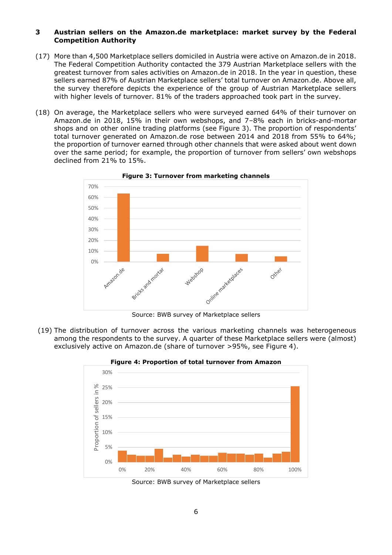## **3 Austrian sellers on the Amazon.de marketplace: market survey by the Federal Competition Authority**

- (17) More than 4,500 Marketplace sellers domiciled in Austria were active on Amazon.de in 2018. The Federal Competition Authority contacted the 379 Austrian Marketplace sellers with the greatest turnover from sales activities on Amazon.de in 2018. In the year in question, these sellers earned 87% of Austrian Marketplace sellers' total turnover on Amazon.de. Above all, the survey therefore depicts the experience of the group of Austrian Marketplace sellers with higher levels of turnover. 81% of the traders approached took part in the survey.
- (18) On average, the Marketplace sellers who were surveyed earned 64% of their turnover on Amazon.de in 2018, 15% in their own webshops, and 7–8% each in bricks-and-mortar shops and on other online trading platforms (see Figure 3). The proportion of respondents' total turnover generated on Amazon.de rose between 2014 and 2018 from 55% to 64%; the proportion of turnover earned through other channels that were asked about went down over the same period; for example, the proportion of turnover from sellers' own webshops declined from 21% to 15%.



**Figure 3: Turnover from marketing channels**

Source: BWB survey of Marketplace sellers

(19) The distribution of turnover across the various marketing channels was heterogeneous among the respondents to the survey. A quarter of these Marketplace sellers were (almost) exclusively active on Amazon.de (share of turnover >95%, see Figure 4).



**Figure 4: Proportion of total turnover from Amazon**

Source: BWB survey of Marketplace sellers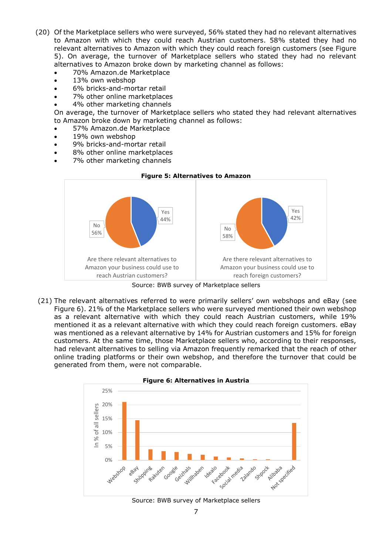- (20) Of the Marketplace sellers who were surveyed, 56% stated they had no relevant alternatives to Amazon with which they could reach Austrian customers. 58% stated they had no relevant alternatives to Amazon with which they could reach foreign customers (see Figure 5). On average, the turnover of Marketplace sellers who stated they had no relevant alternatives to Amazon broke down by marketing channel as follows:
	- 70% Amazon.de Marketplace
	- 13% own webshop
	- 6% bricks-and-mortar retail
	- 7% other online marketplaces
	- 4% other marketing channels

On average, the turnover of Marketplace sellers who stated they had relevant alternatives to Amazon broke down by marketing channel as follows:

- 57% Amazon.de Marketplace
- 19% own webshop
- 9% bricks-and-mortar retail
- 8% other online marketplaces
- 7% other marketing channels



Source: BWB survey of Marketplace sellers

(21) The relevant alternatives referred to were primarily sellers' own webshops and eBay (see Figure 6). 21% of the Marketplace sellers who were surveyed mentioned their own webshop as a relevant alternative with which they could reach Austrian customers, while 19% mentioned it as a relevant alternative with which they could reach foreign customers. eBay was mentioned as a relevant alternative by 14% for Austrian customers and 15% for foreign customers. At the same time, those Marketplace sellers who, according to their responses, had relevant alternatives to selling via Amazon frequently remarked that the reach of other online trading platforms or their own webshop, and therefore the turnover that could be generated from them, were not comparable.



Source: BWB survey of Marketplace sellers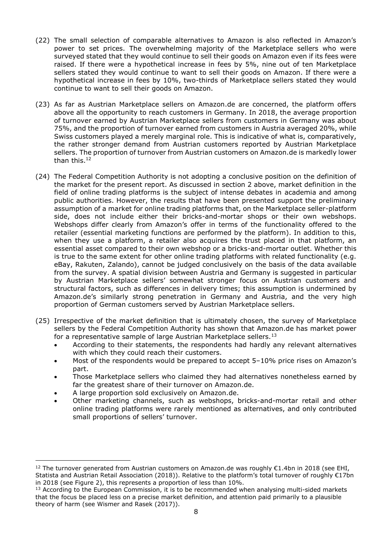- (22) The small selection of comparable alternatives to Amazon is also reflected in Amazon's power to set prices. The overwhelming majority of the Marketplace sellers who were surveyed stated that they would continue to sell their goods on Amazon even if its fees were raised. If there were a hypothetical increase in fees by 5%, nine out of ten Marketplace sellers stated they would continue to want to sell their goods on Amazon. If there were a hypothetical increase in fees by 10%, two-thirds of Marketplace sellers stated they would continue to want to sell their goods on Amazon.
- (23) As far as Austrian Marketplace sellers on Amazon.de are concerned, the platform offers above all the opportunity to reach customers in Germany. In 2018, the average proportion of turnover earned by Austrian Marketplace sellers from customers in Germany was about 75%, and the proportion of turnover earned from customers in Austria averaged 20%, while Swiss customers played a merely marginal role. This is indicative of what is, comparatively, the rather stronger demand from Austrian customers reported by Austrian Marketplace sellers. The proportion of turnover from Austrian customers on Amazon.de is markedly lower than this.<sup>12</sup>
- (24) The Federal Competition Authority is not adopting a conclusive position on the definition of the market for the present report. As discussed in section 2 above, market definition in the field of online trading platforms is the subject of intense debates in academia and among public authorities. However, the results that have been presented support the preliminary assumption of a market for online trading platforms that, on the Marketplace seller-platform side, does not include either their bricks-and-mortar shops or their own webshops. Webshops differ clearly from Amazon's offer in terms of the functionality offered to the retailer (essential marketing functions are performed by the platform). In addition to this, when they use a platform, a retailer also acquires the trust placed in that platform, an essential asset compared to their own webshop or a bricks-and-mortar outlet. Whether this is true to the same extent for other online trading platforms with related functionality (e.g. eBay, Rakuten, Zalando), cannot be judged conclusively on the basis of the data available from the survey. A spatial division between Austria and Germany is suggested in particular by Austrian Marketplace sellers' somewhat stronger focus on Austrian customers and structural factors, such as differences in delivery times; this assumption is undermined by Amazon.de's similarly strong penetration in Germany and Austria, and the very high proportion of German customers served by Austrian Marketplace sellers.
- (25) Irrespective of the market definition that is ultimately chosen, the survey of Marketplace sellers by the Federal Competition Authority has shown that Amazon.de has market power for a representative sample of large Austrian Marketplace sellers.<sup>13</sup>
	- According to their statements, the respondents had hardly any relevant alternatives with which they could reach their customers.
	- Most of the respondents would be prepared to accept 5–10% price rises on Amazon's part.
	- Those Marketplace sellers who claimed they had alternatives nonetheless earned by far the greatest share of their turnover on Amazon.de.
	- A large proportion sold exclusively on Amazon.de.

 $\overline{a}$ 

 Other marketing channels, such as webshops, bricks-and-mortar retail and other online trading platforms were rarely mentioned as alternatives, and only contributed small proportions of sellers' turnover.

<sup>&</sup>lt;sup>12</sup> The turnover generated from Austrian customers on Amazon.de was roughly  $\epsilon$ 1.4bn in 2018 (see EHI, Statista and Austrian Retail Association (2018)). Relative to the platform's total turnover of roughly €17bn in 2018 (see Figure 2), this represents a proportion of less than 10%.

<sup>&</sup>lt;sup>13</sup> According to the European Commission, it is to be recommended when analysing multi-sided markets that the focus be placed less on a precise market definition, and attention paid primarily to a plausible theory of harm (see Wismer and Rasek (2017)).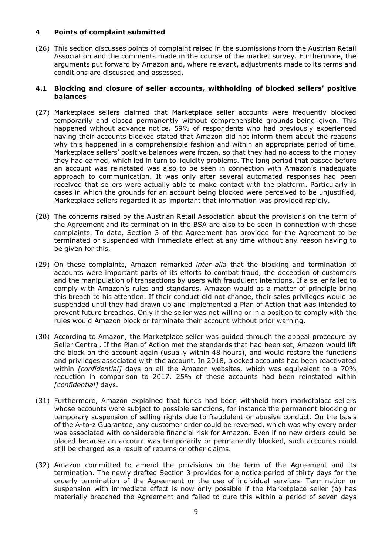## **4 Points of complaint submitted**

(26) This section discusses points of complaint raised in the submissions from the Austrian Retail Association and the comments made in the course of the market survey. Furthermore, the arguments put forward by Amazon and, where relevant, adjustments made to its terms and conditions are discussed and assessed.

#### **4.1 Blocking and closure of seller accounts, withholding of blocked sellers' positive balances**

- (27) Marketplace sellers claimed that Marketplace seller accounts were frequently blocked temporarily and closed permanently without comprehensible grounds being given. This happened without advance notice. 59% of respondents who had previously experienced having their accounts blocked stated that Amazon did not inform them about the reasons why this happened in a comprehensible fashion and within an appropriate period of time. Marketplace sellers' positive balances were frozen, so that they had no access to the money they had earned, which led in turn to liquidity problems. The long period that passed before an account was reinstated was also to be seen in connection with Amazon's inadequate approach to communication. It was only after several automated responses had been received that sellers were actually able to make contact with the platform. Particularly in cases in which the grounds for an account being blocked were perceived to be unjustified, Marketplace sellers regarded it as important that information was provided rapidly.
- (28) The concerns raised by the Austrian Retail Association about the provisions on the term of the Agreement and its termination in the BSA are also to be seen in connection with these complaints. To date, Section 3 of the Agreement has provided for the Agreement to be terminated or suspended with immediate effect at any time without any reason having to be given for this.
- (29) On these complaints, Amazon remarked *inter alia* that the blocking and termination of accounts were important parts of its efforts to combat fraud, the deception of customers and the manipulation of transactions by users with fraudulent intentions. If a seller failed to comply with Amazon's rules and standards, Amazon would as a matter of principle bring this breach to his attention. If their conduct did not change, their sales privileges would be suspended until they had drawn up and implemented a Plan of Action that was intended to prevent future breaches. Only if the seller was not willing or in a position to comply with the rules would Amazon block or terminate their account without prior warning.
- (30) According to Amazon, the Marketplace seller was guided through the appeal procedure by Seller Central. If the Plan of Action met the standards that had been set, Amazon would lift the block on the account again (usually within 48 hours), and would restore the functions and privileges associated with the account. In 2018, blocked accounts had been reactivated within *[confidential]* days on all the Amazon websites, which was equivalent to a 70% reduction in comparison to 2017. 25% of these accounts had been reinstated within *[confidential]* days.
- (31) Furthermore, Amazon explained that funds had been withheld from marketplace sellers whose accounts were subject to possible sanctions, for instance the permanent blocking or temporary suspension of selling rights due to fraudulent or abusive conduct. On the basis of the A-to-z Guarantee, any customer order could be reversed, which was why every order was associated with considerable financial risk for Amazon. Even if no new orders could be placed because an account was temporarily or permanently blocked, such accounts could still be charged as a result of returns or other claims.
- (32) Amazon committed to amend the provisions on the term of the Agreement and its termination. The newly drafted Section 3 provides for a notice period of thirty days for the orderly termination of the Agreement or the use of individual services. Termination or suspension with immediate effect is now only possible if the Marketplace seller (a) has materially breached the Agreement and failed to cure this within a period of seven days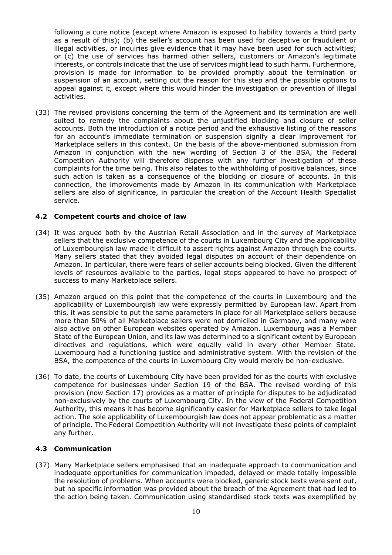following a cure notice (except where Amazon is exposed to liability towards a third party as a result of this); (b) the seller's account has been used for deceptive or fraudulent or illegal activities, or inquiries give evidence that it may have been used for such activities; or (c) the use of services has harmed other sellers, customers or Amazon's legitimate interests, or controls indicate that the use of services might lead to such harm. Furthermore, provision is made for information to be provided promptly about the termination or suspension of an account, setting out the reason for this step and the possible options to appeal against it, except where this would hinder the investigation or prevention of illegal activities.

(33) The revised provisions concerning the term of the Agreement and its termination are well suited to remedy the complaints about the unjustified blocking and closure of seller accounts. Both the introduction of a notice period and the exhaustive listing of the reasons for an account's immediate termination or suspension signify a clear improvement for Marketplace sellers in this context. On the basis of the above-mentioned submission from Amazon in conjunction with the new wording of Section 3 of the BSA, the Federal Competition Authority will therefore dispense with any further investigation of these complaints for the time being. This also relates to the withholding of positive balances, since such action is taken as a consequence of the blocking or closure of accounts. In this connection, the improvements made by Amazon in its communication with Marketplace sellers are also of significance, in particular the creation of the Account Health Specialist service.

## **4.2 Competent courts and choice of law**

- (34) It was argued both by the Austrian Retail Association and in the survey of Marketplace sellers that the exclusive competence of the courts in Luxembourg City and the applicability of Luxembourgish law made it difficult to assert rights against Amazon through the courts. Many sellers stated that they avoided legal disputes on account of their dependence on Amazon. In particular, there were fears of seller accounts being blocked. Given the different levels of resources available to the parties, legal steps appeared to have no prospect of success to many Marketplace sellers.
- (35) Amazon argued on this point that the competence of the courts in Luxembourg and the applicability of Luxembourgish law were expressly permitted by European law. Apart from this, it was sensible to put the same parameters in place for all Marketplace sellers because more than 50% of all Marketplace sellers were not domiciled in Germany, and many were also active on other European websites operated by Amazon. Luxembourg was a Member State of the European Union, and its law was determined to a significant extent by European directives and regulations, which were equally valid in every other Member State. Luxembourg had a functioning justice and administrative system. With the revision of the BSA, the competence of the courts in Luxembourg City would merely be non-exclusive.
- (36) To date, the courts of Luxembourg City have been provided for as the courts with exclusive competence for businesses under Section 19 of the BSA. The revised wording of this provision (now Section 17) provides as a matter of principle for disputes to be adjudicated non-exclusively by the courts of Luxembourg City. In the view of the Federal Competition Authority, this means it has become significantly easier for Marketplace sellers to take legal action. The sole applicability of Luxembourgish law does not appear problematic as a matter of principle. The Federal Competition Authority will not investigate these points of complaint any further.

## **4.3 Communication**

(37) Many Marketplace sellers emphasised that an inadequate approach to communication and inadequate opportunities for communication impeded, delayed or made totally impossible the resolution of problems. When accounts were blocked, generic stock texts were sent out, but no specific information was provided about the breach of the Agreement that had led to the action being taken. Communication using standardised stock texts was exemplified by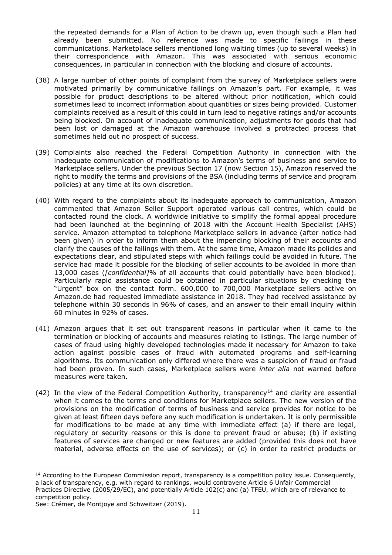the repeated demands for a Plan of Action to be drawn up, even though such a Plan had already been submitted. No reference was made to specific failings in these communications. Marketplace sellers mentioned long waiting times (up to several weeks) in their correspondence with Amazon. This was associated with serious economic consequences, in particular in connection with the blocking and closure of accounts.

- (38) A large number of other points of complaint from the survey of Marketplace sellers were motivated primarily by communicative failings on Amazon's part. For example, it was possible for product descriptions to be altered without prior notification, which could sometimes lead to incorrect information about quantities or sizes being provided. Customer complaints received as a result of this could in turn lead to negative ratings and/or accounts being blocked. On account of inadequate communication, adjustments for goods that had been lost or damaged at the Amazon warehouse involved a protracted process that sometimes held out no prospect of success.
- (39) Complaints also reached the Federal Competition Authority in connection with the inadequate communication of modifications to Amazon's terms of business and service to Marketplace sellers. Under the previous Section 17 (now Section 15), Amazon reserved the right to modify the terms and provisions of the BSA (including terms of service and program policies) at any time at its own discretion.
- (40) With regard to the complaints about its inadequate approach to communication, Amazon commented that Amazon Seller Support operated various call centres, which could be contacted round the clock. A worldwide initiative to simplify the formal appeal procedure had been launched at the beginning of 2018 with the Account Health Specialist (AHS) service. Amazon attempted to telephone Marketplace sellers in advance (after notice had been given) in order to inform them about the impending blocking of their accounts and clarify the causes of the failings with them. At the same time, Amazon made its policies and expectations clear, and stipulated steps with which failings could be avoided in future. The service had made it possible for the blocking of seller accounts to be avoided in more than 13,000 cases (*[confidential]*% of all accounts that could potentially have been blocked). Particularly rapid assistance could be obtained in particular situations by checking the "Urgent" box on the contact form. 600,000 to 700,000 Marketplace sellers active on Amazon.de had requested immediate assistance in 2018. They had received assistance by telephone within 30 seconds in 96% of cases, and an answer to their email inquiry within 60 minutes in 92% of cases.
- (41) Amazon argues that it set out transparent reasons in particular when it came to the termination or blocking of accounts and measures relating to listings. The large number of cases of fraud using highly developed technologies made it necessary for Amazon to take action against possible cases of fraud with automated programs and self-learning algorithms. Its communication only differed where there was a suspicion of fraud or fraud had been proven. In such cases, Marketplace sellers were *inter alia* not warned before measures were taken.
- (42) In the view of the Federal Competition Authority, transparency<sup>14</sup> and clarity are essential when it comes to the terms and conditions for Marketplace sellers. The new version of the provisions on the modification of terms of business and service provides for notice to be given at least fifteen days before any such modification is undertaken. It is only permissible for modifications to be made at any time with immediate effect (a) if there are legal, regulatory or security reasons or this is done to prevent fraud or abuse; (b) if existing features of services are changed or new features are added (provided this does not have material, adverse effects on the use of services); or (c) in order to restrict products or

 $\overline{a}$ <sup>14</sup> According to the European Commission report, transparency is a competition policy issue. Consequently, a lack of transparency, e.g. with regard to rankings, would contravene Article 6 Unfair Commercial Practices Directive (2005/29/EC), and potentially Article 102(c) and (a) TFEU, which are of relevance to competition policy.

See: Crémer, de Montjoye and Schweitzer (2019).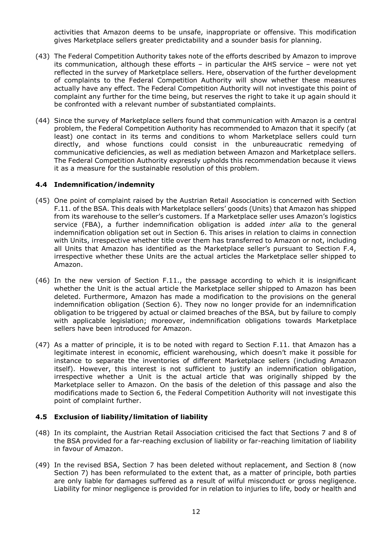activities that Amazon deems to be unsafe, inappropriate or offensive. This modification gives Marketplace sellers greater predictability and a sounder basis for planning.

- (43) The Federal Competition Authority takes note of the efforts described by Amazon to improve its communication, although these efforts – in particular the AHS service – were not yet reflected in the survey of Marketplace sellers. Here, observation of the further development of complaints to the Federal Competition Authority will show whether these measures actually have any effect. The Federal Competition Authority will not investigate this point of complaint any further for the time being, but reserves the right to take it up again should it be confronted with a relevant number of substantiated complaints.
- (44) Since the survey of Marketplace sellers found that communication with Amazon is a central problem, the Federal Competition Authority has recommended to Amazon that it specify (at least) one contact in its terms and conditions to whom Marketplace sellers could turn directly, and whose functions could consist in the unbureaucratic remedying of communicative deficiencies, as well as mediation between Amazon and Marketplace sellers. The Federal Competition Authority expressly upholds this recommendation because it views it as a measure for the sustainable resolution of this problem.

## **4.4 Indemnification/indemnity**

- (45) One point of complaint raised by the Austrian Retail Association is concerned with Section F.11. of the BSA. This deals with Marketplace sellers' goods (Units) that Amazon has shipped from its warehouse to the seller's customers. If a Marketplace seller uses Amazon's logistics service (FBA), a further indemnification obligation is added *inter alia* to the general indemnification obligation set out in Section 6. This arises in relation to claims in connection with Units, irrespective whether title over them has transferred to Amazon or not, including all Units that Amazon has identified as the Marketplace seller's pursuant to Section F.4, irrespective whether these Units are the actual articles the Marketplace seller shipped to Amazon.
- (46) In the new version of Section F.11., the passage according to which it is insignificant whether the Unit is the actual article the Marketplace seller shipped to Amazon has been deleted. Furthermore, Amazon has made a modification to the provisions on the general indemnification obligation (Section 6). They now no longer provide for an indemnification obligation to be triggered by actual or claimed breaches of the BSA, but by failure to comply with applicable legislation; moreover, indemnification obligations towards Marketplace sellers have been introduced for Amazon.
- (47) As a matter of principle, it is to be noted with regard to Section F.11. that Amazon has a legitimate interest in economic, efficient warehousing, which doesn't make it possible for instance to separate the inventories of different Marketplace sellers (including Amazon itself). However, this interest is not sufficient to justify an indemnification obligation, irrespective whether a Unit is the actual article that was originally shipped by the Marketplace seller to Amazon. On the basis of the deletion of this passage and also the modifications made to Section 6, the Federal Competition Authority will not investigate this point of complaint further.

## **4.5 Exclusion of liability/limitation of liability**

- (48) In its complaint, the Austrian Retail Association criticised the fact that Sections 7 and 8 of the BSA provided for a far-reaching exclusion of liability or far-reaching limitation of liability in favour of Amazon.
- (49) In the revised BSA, Section 7 has been deleted without replacement, and Section 8 (now Section 7) has been reformulated to the extent that, as a matter of principle, both parties are only liable for damages suffered as a result of wilful misconduct or gross negligence. Liability for minor negligence is provided for in relation to injuries to life, body or health and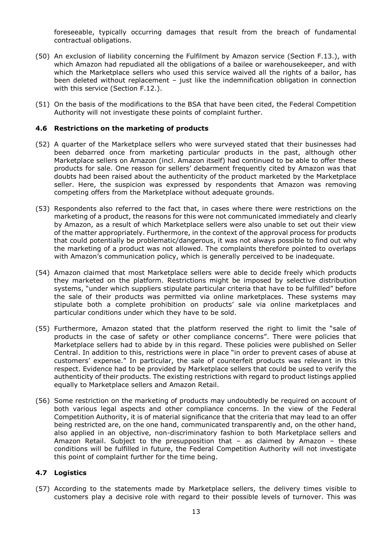foreseeable, typically occurring damages that result from the breach of fundamental contractual obligations.

- (50) An exclusion of liability concerning the Fulfilment by Amazon service (Section F.13.), with which Amazon had repudiated all the obligations of a bailee or warehousekeeper, and with which the Marketplace sellers who used this service waived all the rights of a bailor, has been deleted without replacement – just like the indemnification obligation in connection with this service (Section F.12.).
- (51) On the basis of the modifications to the BSA that have been cited, the Federal Competition Authority will not investigate these points of complaint further.

#### **4.6 Restrictions on the marketing of products**

- (52) A quarter of the Marketplace sellers who were surveyed stated that their businesses had been debarred once from marketing particular products in the past, although other Marketplace sellers on Amazon (incl. Amazon itself) had continued to be able to offer these products for sale. One reason for sellers' debarment frequently cited by Amazon was that doubts had been raised about the authenticity of the product marketed by the Marketplace seller. Here, the suspicion was expressed by respondents that Amazon was removing competing offers from the Marketplace without adequate grounds.
- (53) Respondents also referred to the fact that, in cases where there were restrictions on the marketing of a product, the reasons for this were not communicated immediately and clearly by Amazon, as a result of which Marketplace sellers were also unable to set out their view of the matter appropriately. Furthermore, in the context of the approval process for products that could potentially be problematic/dangerous, it was not always possible to find out why the marketing of a product was not allowed. The complaints therefore pointed to overlaps with Amazon's communication policy, which is generally perceived to be inadequate.
- (54) Amazon claimed that most Marketplace sellers were able to decide freely which products they marketed on the platform. Restrictions might be imposed by selective distribution systems, "under which suppliers stipulate particular criteria that have to be fulfilled" before the sale of their products was permitted via online marketplaces. These systems may stipulate both a complete prohibition on products' sale via online marketplaces and particular conditions under which they have to be sold.
- (55) Furthermore, Amazon stated that the platform reserved the right to limit the "sale of products in the case of safety or other compliance concerns". There were policies that Marketplace sellers had to abide by in this regard. These policies were published on Seller Central. In addition to this, restrictions were in place "in order to prevent cases of abuse at customers' expense." In particular, the sale of counterfeit products was relevant in this respect. Evidence had to be provided by Marketplace sellers that could be used to verify the authenticity of their products. The existing restrictions with regard to product listings applied equally to Marketplace sellers and Amazon Retail.
- (56) Some restriction on the marketing of products may undoubtedly be required on account of both various legal aspects and other compliance concerns. In the view of the Federal Competition Authority, it is of material significance that the criteria that may lead to an offer being restricted are, on the one hand, communicated transparently and, on the other hand, also applied in an objective, non-discriminatory fashion to both Marketplace sellers and Amazon Retail. Subject to the presupposition that – as claimed by Amazon – these conditions will be fulfilled in future, the Federal Competition Authority will not investigate this point of complaint further for the time being.

## **4.7 Logistics**

(57) According to the statements made by Marketplace sellers, the delivery times visible to customers play a decisive role with regard to their possible levels of turnover. This was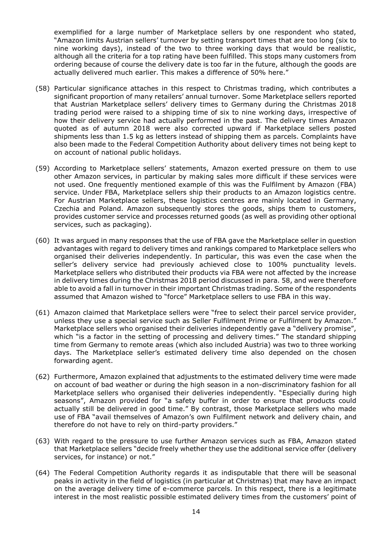exemplified for a large number of Marketplace sellers by one respondent who stated, "Amazon limits Austrian sellers' turnover by setting transport times that are too long (six to nine working days), instead of the two to three working days that would be realistic, although all the criteria for a top rating have been fulfilled. This stops many customers from ordering because of course the delivery date is too far in the future, although the goods are actually delivered much earlier. This makes a difference of 50% here."

- (58) Particular significance attaches in this respect to Christmas trading, which contributes a significant proportion of many retailers' annual turnover. Some Marketplace sellers reported that Austrian Marketplace sellers' delivery times to Germany during the Christmas 2018 trading period were raised to a shipping time of six to nine working days, irrespective of how their delivery service had actually performed in the past. The delivery times Amazon quoted as of autumn 2018 were also corrected upward if Marketplace sellers posted shipments less than 1.5 kg as letters instead of shipping them as parcels. Complaints have also been made to the Federal Competition Authority about delivery times not being kept to on account of national public holidays.
- (59) According to Marketplace sellers' statements, Amazon exerted pressure on them to use other Amazon services, in particular by making sales more difficult if these services were not used. One frequently mentioned example of this was the Fulfilment by Amazon (FBA) service. Under FBA, Marketplace sellers ship their products to an Amazon logistics centre. For Austrian Marketplace sellers, these logistics centres are mainly located in Germany, Czechia and Poland. Amazon subsequently stores the goods, ships them to customers, provides customer service and processes returned goods (as well as providing other optional services, such as packaging).
- (60) It was argued in many responses that the use of FBA gave the Marketplace seller in question advantages with regard to delivery times and rankings compared to Marketplace sellers who organised their deliveries independently. In particular, this was even the case when the seller's delivery service had previously achieved close to 100% punctuality levels. Marketplace sellers who distributed their products via FBA were not affected by the increase in delivery times during the Christmas 2018 period discussed in para. 58, and were therefore able to avoid a fall in turnover in their important Christmas trading. Some of the respondents assumed that Amazon wished to "force" Marketplace sellers to use FBA in this way.
- (61) Amazon claimed that Marketplace sellers were "free to select their parcel service provider, unless they use a special service such as Seller Fulfilment Prime or Fulfilment by Amazon." Marketplace sellers who organised their deliveries independently gave a "delivery promise", which "is a factor in the setting of processing and delivery times." The standard shipping time from Germany to remote areas (which also included Austria) was two to three working days. The Marketplace seller's estimated delivery time also depended on the chosen forwarding agent.
- (62) Furthermore, Amazon explained that adjustments to the estimated delivery time were made on account of bad weather or during the high season in a non-discriminatory fashion for all Marketplace sellers who organised their deliveries independently. "Especially during high seasons", Amazon provided for "a safety buffer in order to ensure that products could actually still be delivered in good time." By contrast, those Marketplace sellers who made use of FBA "avail themselves of Amazon's own Fulfilment network and delivery chain, and therefore do not have to rely on third-party providers."
- (63) With regard to the pressure to use further Amazon services such as FBA, Amazon stated that Marketplace sellers "decide freely whether they use the additional service offer (delivery services, for instance) or not."
- (64) The Federal Competition Authority regards it as indisputable that there will be seasonal peaks in activity in the field of logistics (in particular at Christmas) that may have an impact on the average delivery time of e-commerce parcels. In this respect, there is a legitimate interest in the most realistic possible estimated delivery times from the customers' point of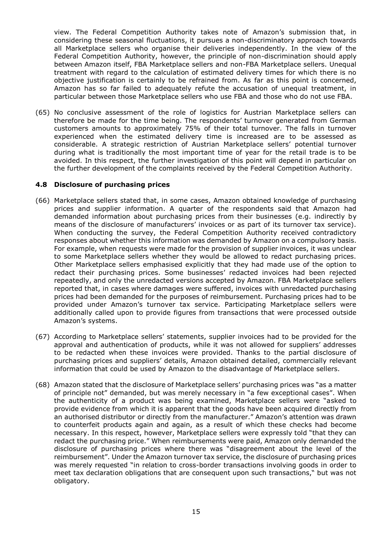view. The Federal Competition Authority takes note of Amazon's submission that, in considering these seasonal fluctuations, it pursues a non-discriminatory approach towards all Marketplace sellers who organise their deliveries independently. In the view of the Federal Competition Authority, however, the principle of non-discrimination should apply between Amazon itself, FBA Marketplace sellers and non-FBA Marketplace sellers. Unequal treatment with regard to the calculation of estimated delivery times for which there is no objective justification is certainly to be refrained from. As far as this point is concerned, Amazon has so far failed to adequately refute the accusation of unequal treatment, in particular between those Marketplace sellers who use FBA and those who do not use FBA.

(65) No conclusive assessment of the role of logistics for Austrian Marketplace sellers can therefore be made for the time being. The respondents' turnover generated from German customers amounts to approximately 75% of their total turnover. The falls in turnover experienced when the estimated delivery time is increased are to be assessed as considerable. A strategic restriction of Austrian Marketplace sellers' potential turnover during what is traditionally the most important time of year for the retail trade is to be avoided. In this respect, the further investigation of this point will depend in particular on the further development of the complaints received by the Federal Competition Authority.

#### **4.8 Disclosure of purchasing prices**

- (66) Marketplace sellers stated that, in some cases, Amazon obtained knowledge of purchasing prices and supplier information. A quarter of the respondents said that Amazon had demanded information about purchasing prices from their businesses (e.g. indirectly by means of the disclosure of manufacturers' invoices or as part of its turnover tax service). When conducting the survey, the Federal Competition Authority received contradictory responses about whether this information was demanded by Amazon on a compulsory basis. For example, when requests were made for the provision of supplier invoices, it was unclear to some Marketplace sellers whether they would be allowed to redact purchasing prices. Other Marketplace sellers emphasised explicitly that they had made use of the option to redact their purchasing prices. Some businesses' redacted invoices had been rejected repeatedly, and only the unredacted versions accepted by Amazon. FBA Marketplace sellers reported that, in cases where damages were suffered, invoices with unredacted purchasing prices had been demanded for the purposes of reimbursement. Purchasing prices had to be provided under Amazon's turnover tax service. Participating Marketplace sellers were additionally called upon to provide figures from transactions that were processed outside Amazon's systems.
- (67) According to Marketplace sellers' statements, supplier invoices had to be provided for the approval and authentication of products, while it was not allowed for suppliers' addresses to be redacted when these invoices were provided. Thanks to the partial disclosure of purchasing prices and suppliers' details, Amazon obtained detailed, commercially relevant information that could be used by Amazon to the disadvantage of Marketplace sellers.
- (68) Amazon stated that the disclosure of Marketplace sellers' purchasing prices was "as a matter of principle not" demanded, but was merely necessary in "a few exceptional cases". When the authenticity of a product was being examined, Marketplace sellers were "asked to provide evidence from which it is apparent that the goods have been acquired directly from an authorised distributor or directly from the manufacturer." Amazon's attention was drawn to counterfeit products again and again, as a result of which these checks had become necessary. In this respect, however, Marketplace sellers were expressly told "that they can redact the purchasing price." When reimbursements were paid, Amazon only demanded the disclosure of purchasing prices where there was "disagreement about the level of the reimbursement". Under the Amazon turnover tax service, the disclosure of purchasing prices was merely requested "in relation to cross-border transactions involving goods in order to meet tax declaration obligations that are consequent upon such transactions," but was not obligatory.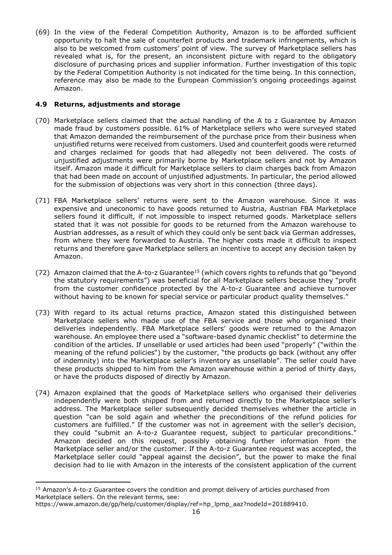(69) In the view of the Federal Competition Authority, Amazon is to be afforded sufficient opportunity to halt the sale of counterfeit products and trademark infringements, which is also to be welcomed from customers' point of view. The survey of Marketplace sellers has revealed what is, for the present, an inconsistent picture with regard to the obligatory disclosure of purchasing prices and supplier information. Further investigation of this topic by the Federal Competition Authority is not indicated for the time being. In this connection, reference may also be made to the European Commission's ongoing proceedings against Amazon.

# **4.9 Returns, adjustments and storage**

- (70) Marketplace sellers claimed that the actual handling of the A to z Guarantee by Amazon made fraud by customers possible. 61% of Marketplace sellers who were surveyed stated that Amazon demanded the reimbursement of the purchase price from their business when unjustified returns were received from customers. Used and counterfeit goods were returned and charges reclaimed for goods that had allegedly not been delivered. The costs of unjustified adjustments were primarily borne by Marketplace sellers and not by Amazon itself. Amazon made it difficult for Marketplace sellers to claim charges back from Amazon that had been made on account of unjustified adjustments. In particular, the period allowed for the submission of objections was very short in this connection (three days).
- (71) FBA Marketplace sellers' returns were sent to the Amazon warehouse. Since it was expensive and uneconomic to have goods returned to Austria, Austrian FBA Marketplace sellers found it difficult, if not impossible to inspect returned goods. Marketplace sellers stated that it was not possible for goods to be returned from the Amazon warehouse to Austrian addresses, as a result of which they could only be sent back via German addresses, from where they were forwarded to Austria. The higher costs made it difficult to inspect returns and therefore gave Marketplace sellers an incentive to accept any decision taken by Amazon.
- (72) Amazon claimed that the A-to-z Guarantee<sup>15</sup> (which covers rights to refunds that go "beyond the statutory requirements") was beneficial for all Marketplace sellers because they "profit from the customer confidence protected by the A-to-z Guarantee and achieve turnover without having to be known for special service or particular product quality themselves."
- (73) With regard to its actual returns practice, Amazon stated this distinguished between Marketplace sellers who made use of the FBA service and those who organised their deliveries independently. FBA Marketplace sellers' goods were returned to the Amazon warehouse. An employee there used a "software-based dynamic checklist" to determine the condition of the articles. If unsellable or used articles had been used "properly" ("within the meaning of the refund policies") by the customer, "the products go back (without any offer of indemnity) into the Marketplace seller's inventory as unsellable". The seller could have these products shipped to him from the Amazon warehouse within a period of thirty days, or have the products disposed of directly by Amazon.
- (74) Amazon explained that the goods of Marketplace sellers who organised their deliveries independently were both shipped from and returned directly to the Marketplace seller's address. The Marketplace seller subsequently decided themselves whether the article in question "can be sold again and whether the preconditions of the refund policies for customers are fulfilled." If the customer was not in agreement with the seller's decision, they could "submit an A-to-z Guarantee request, subject to particular preconditions." Amazon decided on this request, possibly obtaining further information from the Marketplace seller and/or the customer. If the A-to-z Guarantee request was accepted, the Marketplace seller could "appeal against the decision", but the power to make the final decision had to lie with Amazon in the interests of the consistent application of the current

<sup>&</sup>lt;sup>15</sup> Amazon's A-to-z Guarantee covers the condition and prompt delivery of articles purchased from Marketplace sellers. On the relevant terms, see:

https://www.amazon.de/gp/help/customer/display/ref=hp\_lpmp\_aaz?nodeId=201889410.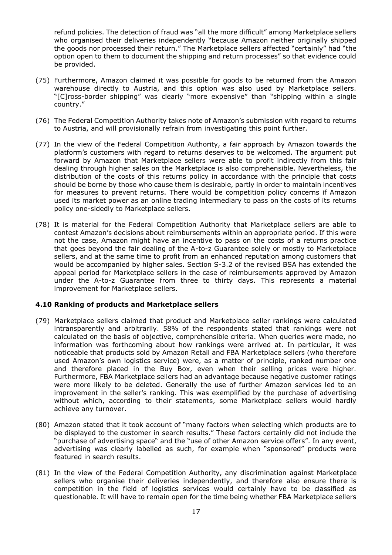refund policies. The detection of fraud was "all the more difficult" among Marketplace sellers who organised their deliveries independently "because Amazon neither originally shipped the goods nor processed their return." The Marketplace sellers affected "certainly" had "the option open to them to document the shipping and return processes" so that evidence could be provided.

- (75) Furthermore, Amazon claimed it was possible for goods to be returned from the Amazon warehouse directly to Austria, and this option was also used by Marketplace sellers. "[C]ross-border shipping" was clearly "more expensive" than "shipping within a single country."
- (76) The Federal Competition Authority takes note of Amazon's submission with regard to returns to Austria, and will provisionally refrain from investigating this point further.
- (77) In the view of the Federal Competition Authority, a fair approach by Amazon towards the platform's customers with regard to returns deserves to be welcomed. The argument put forward by Amazon that Marketplace sellers were able to profit indirectly from this fair dealing through higher sales on the Marketplace is also comprehensible. Nevertheless, the distribution of the costs of this returns policy in accordance with the principle that costs should be borne by those who cause them is desirable, partly in order to maintain incentives for measures to prevent returns. There would be competition policy concerns if Amazon used its market power as an online trading intermediary to pass on the costs of its returns policy one-sidedly to Marketplace sellers.
- (78) It is material for the Federal Competition Authority that Marketplace sellers are able to contest Amazon's decisions about reimbursements within an appropriate period. If this were not the case, Amazon might have an incentive to pass on the costs of a returns practice that goes beyond the fair dealing of the A-to-z Guarantee solely or mostly to Marketplace sellers, and at the same time to profit from an enhanced reputation among customers that would be accompanied by higher sales. Section S-3.2 of the revised BSA has extended the appeal period for Marketplace sellers in the case of reimbursements approved by Amazon under the A-to-z Guarantee from three to thirty days. This represents a material improvement for Marketplace sellers.

## **4.10 Ranking of products and Marketplace sellers**

- (79) Marketplace sellers claimed that product and Marketplace seller rankings were calculated intransparently and arbitrarily. 58% of the respondents stated that rankings were not calculated on the basis of objective, comprehensible criteria. When queries were made, no information was forthcoming about how rankings were arrived at. In particular, it was noticeable that products sold by Amazon Retail and FBA Marketplace sellers (who therefore used Amazon's own logistics service) were, as a matter of principle, ranked number one and therefore placed in the Buy Box, even when their selling prices were higher. Furthermore, FBA Marketplace sellers had an advantage because negative customer ratings were more likely to be deleted. Generally the use of further Amazon services led to an improvement in the seller's ranking. This was exemplified by the purchase of advertising without which, according to their statements, some Marketplace sellers would hardly achieve any turnover.
- (80) Amazon stated that it took account of "many factors when selecting which products are to be displayed to the customer in search results." These factors certainly did not include the "purchase of advertising space" and the "use of other Amazon service offers". In any event, advertising was clearly labelled as such, for example when "sponsored" products were featured in search results.
- (81) In the view of the Federal Competition Authority, any discrimination against Marketplace sellers who organise their deliveries independently, and therefore also ensure there is competition in the field of logistics services would certainly have to be classified as questionable. It will have to remain open for the time being whether FBA Marketplace sellers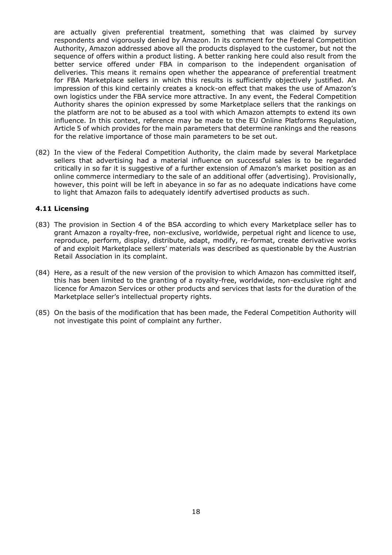are actually given preferential treatment, something that was claimed by survey respondents and vigorously denied by Amazon. In its comment for the Federal Competition Authority, Amazon addressed above all the products displayed to the customer, but not the sequence of offers within a product listing. A better ranking here could also result from the better service offered under FBA in comparison to the independent organisation of deliveries. This means it remains open whether the appearance of preferential treatment for FBA Marketplace sellers in which this results is sufficiently objectively justified. An impression of this kind certainly creates a knock-on effect that makes the use of Amazon's own logistics under the FBA service more attractive. In any event, the Federal Competition Authority shares the opinion expressed by some Marketplace sellers that the rankings on the platform are not to be abused as a tool with which Amazon attempts to extend its own influence. In this context, reference may be made to the EU Online Platforms Regulation, Article 5 of which provides for the main parameters that determine rankings and the reasons for the relative importance of those main parameters to be set out.

(82) In the view of the Federal Competition Authority, the claim made by several Marketplace sellers that advertising had a material influence on successful sales is to be regarded critically in so far it is suggestive of a further extension of Amazon's market position as an online commerce intermediary to the sale of an additional offer (advertising). Provisionally, however, this point will be left in abeyance in so far as no adequate indications have come to light that Amazon fails to adequately identify advertised products as such.

## **4.11 Licensing**

- (83) The provision in Section 4 of the BSA according to which every Marketplace seller has to grant Amazon a royalty-free, non-exclusive, worldwide, perpetual right and licence to use, reproduce, perform, display, distribute, adapt, modify, re-format, create derivative works of and exploit Marketplace sellers' materials was described as questionable by the Austrian Retail Association in its complaint.
- (84) Here, as a result of the new version of the provision to which Amazon has committed itself, this has been limited to the granting of a royalty-free, worldwide, non-exclusive right and licence for Amazon Services or other products and services that lasts for the duration of the Marketplace seller's intellectual property rights.
- (85) On the basis of the modification that has been made, the Federal Competition Authority will not investigate this point of complaint any further.